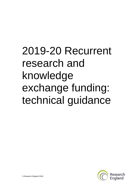# 2019-20 Recurrent research and knowledge exchange funding: technical guidance

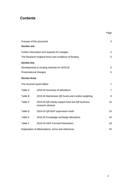## **Contents**

| Purpose of this document                             |                                                                     |                |
|------------------------------------------------------|---------------------------------------------------------------------|----------------|
| <b>Section one</b>                                   |                                                                     |                |
|                                                      | Further information and requests for changes                        | 4              |
| The Research England terms and conditions of funding |                                                                     |                |
| <b>Section two</b>                                   |                                                                     |                |
| Developments to funding methods for 2019-20          |                                                                     |                |
| Presentational changes                               |                                                                     | 6              |
| <b>Section three</b>                                 |                                                                     |                |
| The recurrent grant tables                           |                                                                     | $\overline{7}$ |
| Table A                                              | 2019-20 Summary of allocations                                      | 7              |
| Table B                                              | 2019-20 Mainstream QR funds and London weighting                    | 8              |
| Table C                                              | 2019-20 QR charity support fund and QR business<br>research element | 10             |
| Table D                                              | 2019-20 QR RDP supervision funds                                    | 14             |
| Table E                                              | 2019-20 Knowledge exchange allocations                              | 16             |
| Table F                                              | 2019-20 HEIF Formula Parameters                                     | 18             |
| Explanation of abbreviations, terms and references   |                                                                     |                |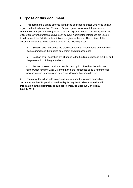## <span id="page-2-0"></span>**Purpose of this document**

1. This document is aimed at those in planning and finance offices who need to have a good understanding of how Research England grant is calculated. It provides a summary of changes to funding for 2019-20 and explains in detail how the figures in the 2019-20 recurrent grant tables have been derived. Abbreviated references are used in this document; the full title or descriptions are given at the end. The content of this document is split into three sections to cover the following areas:

a. **Section one** - describes the processes for data amendments and transfers. It also summarises the funding agreement and data assurance

b. **Section two** - describes any changes to the funding methods in 2019-20 and the presentation of the grant tables

c. **Section three** - contains a detailed description of each of the individual tables which form the 2019-20 grant tables and is intended to be a reference for anyone looking to understand how each allocation has been derived.

2. Each provider will be able to access their own grant tables and supporting documents on the OfS portal on Wednesday 24 July 2019. **Please note that all information in this document is subject to embargo until 0001 on Friday 26 July 2019.**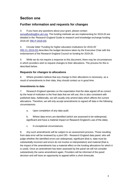## **Section one**

## <span id="page-3-0"></span>**Further information and requests for changes**

3. If you have any questions about your grant, please contact [annualfunding@re.ukri.org.](mailto:annualfunding@re.ukri.org) The funding methods we are implementing for 2019-20 are detailed in the 'Research England Guide to research and knowledge exchange funding 2019-20' [\(RE-P-2019-03\)](https://re.ukri.org/news-events-publications/publications/guide-to-research-and-knowledge-exchange-funding-2019-20/).

4. Circular letter 'Funding for higher education institutions for 2019-20' [\(RE-CL-2019-03\)](https://re.ukri.org/news-events-publications/publications/circular-letter-funding-for-higher-education-institutions-2019-20/) describes the budget decisions taken by the Executive Chair with the endorsement of the Research England Council on funding for 2019-20.

5. While we do not require a response to this document, there may be circumstances in which providers wish to request changes to their allocations. The process for this is described below.

#### **Requests for changes to allocations**

6. Where providers believe that any change to their allocations is necessary, as a result of amendments to their data, they should contact us in good time.

#### **Amendments to data**

7. Research England operates on the expectation that the data signed off as correct by the head of institution is the final data that we will use; this is also consistent with published data. Additionally, we will usually only amend data which affects the current allocations. Therefore, we will only accept amendments to signed off data in the following circumstances:

a. Upon completion of any data audit.

b. Where data errors are identified (which are assessed to be widespread, significant and have a material impact on Research England's use of the data).

c. In exceptional circumstances.

8. Any such amendments will be subject to an assessment process. Those resulting from data error will be reviewed by a joint OfS - Research England data panel, who will judge whether the identified errors are widespread, significant (that is, data must be substantially incorrect and errors do not involve re-interpretation) and material (that is, the impact of the amendments has a material effect on the funding allocations for which it is used). Once an amendment has been assessed by the panel we will not consider substantively the same amendment again. Providers will be informed of the panel decision and will have an opportunity to appeal within a short timescale.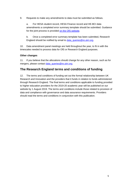9. Requests to make any amendments to data must be submitted as follows.

a. For HESA student record, HESA Finance record and HE-BCI data amendments a completed error summary template should be submitted. Guidance for the joint process is provided [on the OfS website.](https://www.officeforstudents.org.uk/data-and-analysis/amendments-to-data/data-amendments-process/)

b. Once a completed error summary template has been submitted, Research England should be notified by email to [data\\_queries@re.ukri.org.](mailto:data_queries@re.ukri.org)

10. Data amendment panel meetings are held throughout the year, to fit in with the timescales needed to process data for OfS or Research England purposes.

#### **Other changes**

11. If you believe that the allocations should change for any other reason, such as for mergers, please contact [data\\_queries@re.ukri.org.](mailto:data_queries@re.ukri.org)

## <span id="page-4-0"></span>**The Research England terms and conditions of funding**

12. The terms and conditions of funding set out the formal relationship between UK Research and Innovation and the providers that it funds in relation to funds administered through Research England. The final terms and conditions applicable to funding provided to higher education providers for the 2019-20 academic year will be published on our website by 1 August 2019. The terms and conditions include those related to provision of data and compliance with governance and data assurance requirements. Providers should read the terms and conditions in conjunction with this publication.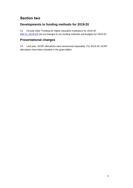## **Section two**

## <span id="page-5-0"></span>**Developments to funding methods for 2019-20**

13. Circular letter 'Funding for higher education institutions for 2019-20' [\(RE-CL-2019-03\)](https://re.ukri.org/news-events-publications/publications/circular-letter-funding-for-higher-education-institutions-2019-20/) set out changes to our funding methods and budgets for 2019-20.

## <span id="page-5-1"></span>**Presentational changes**

14. Last year, GCRF allocations were announced separately. For 2019-20, GCRF allocations have been included in the grant tables.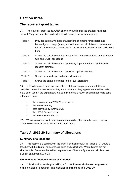## **Section three**

## <span id="page-6-0"></span>**The recurrent grant tables**

15. There are six grant tables, which show how funding for the provider has been derived. They are described in detail in this document, but in summary are:

| Table A | Provides summary details of allocations of funding for research and<br>knowledge exchange (largely derived from the calculations on subsequent<br>tables). It also shows allocations for the Museums, Galleries and Collections<br>Fund. |
|---------|------------------------------------------------------------------------------------------------------------------------------------------------------------------------------------------------------------------------------------------|
| Table B | Shows the calculation of mainstream QR, London weighting on mainstream<br>QR, and GCRF allocations.                                                                                                                                      |
| Table C | Shows the calculation of the QR charity support fund and QR business<br>research element.                                                                                                                                                |
| Table D | Shows the calculation of the QR RDP supervision fund.                                                                                                                                                                                    |
| Table E | Shows the knowledge exchange allocations                                                                                                                                                                                                 |
| Table F | Shows the parameters used in the HEIF allocations                                                                                                                                                                                        |

16. In this document, each row and column of the accompanying grant tables is described beneath a bold sub-heading in the order that they appear in the tables. Italics have been used in the explanatory text to indicate that a row or column heading is being referenced, from:

- the accompanying 2019-20 grant tables
- the HE-BCI survey
- data provided by Innovate UK
- the HESA Finance record
- the HESA Student record

17. Where any of the last five sources are referred to, this is made clear in the text. Otherwise references are to the 2019-20 grant tables.

## <span id="page-6-1"></span>**Table A: 2019-20 Summary of allocations**

#### **Summary of allocations**

18. This section is a summary of the grant allocations shown in Tables B, C, D and E, together with funding for museums, galleries and collections. Where figures are not simply copied from the other tables, explanations of how the figures are calculated are given in paragraphs 19 to 20.

#### **QR funding for National Research Libraries**

19. This allocation, totalling £7 million, is for five libraries which were designated as being of national importance. The allocation is unchanged from 2018-19.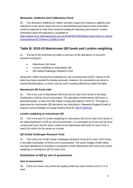#### **Museums, Galleries and Collections Fund**

20. This allocation, totalling £11 million, provides support for museums, galleries and collections in the sector where the cost of stewardship goes beyond what universities could be expected to meet from recurrent funding for teaching and research. Further information about this allocation is available at

[https://webarchive.nationalarchives.gov.uk/20180405132023/http://www.hefce.ac.uk/new](https://webarchive.nationalarchives.gov.uk/20180405132023/http:/www.hefce.ac.uk/news/newsarchive/2017/Name,112699,en.html) [s/newsarchive/2017/Name,112699,en.html.](https://webarchive.nationalarchives.gov.uk/20180405132023/http:/www.hefce.ac.uk/news/newsarchive/2017/Name,112699,en.html)

## <span id="page-7-0"></span>**Table B: 2019-20 Mainstream QR funds and London weighting**

21. The top of the worksheet provides a summary of the allocations of recurrent research funding for:

- Mainstream QR funds
- London weighting on mainstream QR
- QR Global Challenges Research Fund

along with a table showing the breakdown by unit of assessment (UOA). Figures in the table have been rounded for display purposes. However, the calculations are done to several decimal places, so there may be some rounding differences within the table.

#### **Mainstream QR funds total**

22. This is the sum of *Mainstream QR funds (£)* for each UOA shown in the table *Distribution of QR by unit of assessment*. The calculation of *Mainstream QR funds* is described below. A total of £1,061 million is being allocated for 2019-20. The steps to determine the mainstream QR allocations are described in 'Research England Guide to research and knowledge exchange funding 2019-20' [\(RE-P-2019-03\)](https://re.ukri.org/news-events-publications/publications/guide-to-research-and-knowledge-exchange-funding-2019-20/),

#### **London weighting on mainstream QR**

23. This is the sum of *London weighting on mainstream QR (£)* for each UOA shown in the table *Distribution of QR by unit of assessment*. It is calculated as 12 per cent for inner London and 8 per cent for outer London of the *Mainstream QR funds* for each UOA. It totals £34 million for the sector as a whole.

#### **QR Global Challenges Research Fund**

24. This is the sum of *QR Global Challenges Research Fund (£)* for each UOA shown in the table *Distribution of QR by unit of assessment*. The sector budget of £68 million has been distributed to providers in proportion to their *Mainstream QR funds* and *London weighting on mainstream QR* for each UOA.

#### **Distribution of QR by unit of assessment**

#### **Unit of assessment**

25. UOAs are shown only where the quality profile has some activity at the  $3*$  or  $4*$ level.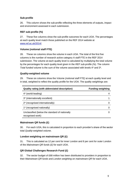#### **Sub-profile**

26. This column shows the sub-profile reflecting the three elements of outputs, impact and environment assessed in each submission.

#### **REF sub-profile (%)**

27. These five columns show the sub-profile outcomes for each UOA. The percentages at each quality level match those published on the REF 2014 website at [www.ref.ac.uk/2014/.](http://www.ref.ac.uk/2014/)

#### **Volume (notional staff FTE)**

28. These six columns show the volume in each UOA. The total of the first five columns is the number of research active category A staff FTE in the REF 2014 submission. The volume at each quality level is calculated by multiplying the total volume by the percentages for each quality level given in the *REF sub-profile (%)*. The column *Total funded volume* is the sum of the volume associated with levels 4\* and 3\*.

#### **Quality-weighted volume**

29. These six columns show the *Volume (notional staff FTE)* at each quality level and in total, weighted to reflect the quality profile for the UOA. The quality weightings are:

| <b>Quality rating (with abbreviated description)</b>               | <b>Funding weighting</b> |
|--------------------------------------------------------------------|--------------------------|
| 4* (world-leading)                                                 |                          |
| 3* (internationally excellent)                                     |                          |
| 2* (recognised internationally)                                    |                          |
| 1* (recognised nationally)                                         |                          |
| Unclassified (below the standard of nationally<br>recognised work) |                          |

#### **Mainstream QR funds (£)**

30. For each UOA, this is calculated in proportion to each provider's share of the sector total *Quality-weighted volume*.

#### **London weighting on mainstream QR (£)**

31. This is calculated as 12 per cent for inner London and 8 per cent for outer London of the *Mainstream QR funds (£)* for each UOA.

#### **QR Global Challenges Research Fund (£)**

32. The sector budget of £68 million has been distributed to providers in proportion to their *Mainstream QR funds* and *London weighting on mainstream QR* for each UOA.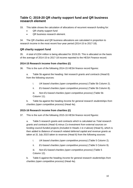## **Table C: 2019-20 QR charity support fund and QR business research element**

33. This table shows the calculation of allocations of recurrent research funding for:

- QR charity support fund
- OR business research element.

34. The QR charities and QR business allocations are calculated in proportion to research income in the most recent four-year period (2014-15 to 2017-18).

#### **QR charity support fund**

35. A total of £204 million is being allocated for 2019-20. This is allocated on the basis of the average of 2014-15 to 2017-18 income reported to the HESA Finance record.

#### **2014-15 Research income from charities (£)**

36. This is the sum of the following 2014-15 HESA finance record figures:

a. Table 5b against the heading: *Net research grants and contracts* (Head 8) from the following sources:

- i. *UK-based charities (open competitive process)* (Table 5b Column 2).
- ii. *EU-based charities (open competitive process)* (Table 5b Column 8).

iii. *Non-EU-based charities (open competitive process)* (Table 5b Column 11).

b. Table 6a against the heading *Income for general research studentships from charities (open competitive process)* (Head 4a).

#### **2015-16 Research income from charities (£)**

37. This is the sum of the following 2015-16 HESA finance record figures:

a. Table 5 research grants and contracts which is calculated as *Total research grants and contracts* (Head 4) minus *Co-investment from external sources on funding council-funded projects (included in Heads 1 to 4 above)* (Head 5), which is then added to *Balance of research related deferred capital and revenue grants as taken at 31 July 2015 taken to reserves* (Head 6) from the following sources:

- i. *UK-based charities (open competitive process)* (Table 5 Column 2).
- ii. *EU-based charities (open competitive process)* (Table 5 Column 9).

iii. *Non-EU-based charities (open competitive process)* (Table 5 Column 12).

b. Table 6 against the heading *Income for general research studentships from charities (open competitive process)* (Head 4a).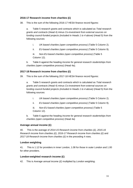#### **2016-17 Research income from charities (£)**

38. This is the sum of the following 2016-17 HESA finance record figures:

a. Table 5 research grants and contracts which is calculated as *Total research grants and contracts* (Head 4) minus *Co-investment from external sources on funding council-funded projects (included in Heads 1 to 4 above)* (Head 5) from the following sources:

- i. *UK-based charities (open competitive process)* (Table 5 Column 2).
- ii. *EU-based charities (open competitive process)* (Table 5 Column 9).

iii. *Non-EU-based charities (open competitive process)* (Table 5 Column 12).

b. Table 6 against the heading *Income for general research studentships from charities (open competitive process)* (Head 4a).

#### **2017-18 Research income from charities (£)**

39. This is the sum of the following 2017-18 HESA finance record figures:

a. Table 5 research grants and contracts which is calculated as *Total research grants and contracts* (Head 4) minus *Co-investment from external sources on funding council-funded projects (included in Heads 1 to 4 above)* (Head 5) from the following sources:

- i. *UK-based charities (open competitive process)* (Table 5 Column 2).
- ii. *EU-based charities (open competitive process)* (Table 5 Column 9).

iii. *Non-EU-based charities (open competitive process)* (Table 5 Column 12).

b. Table 6 against the heading *Income for general research studentships from charities (open competitive process)* (Head 4a)

#### **Average annual income (£)**

40. This is the average of *2014-15 Research income from charities (£), 2015-16 Research income from charities (£), 2016-17 Research income from charities (£)* and *2017-18 Research income from charities (£)* in the preceding 4 rows.

#### **London weighting**

41. This is 1.12 for providers in inner London, 1.08 for those in outer London and 1.00 for other providers.

#### **London-weighted research income (£)**

42. This is *Average annual income (£)* multiplied by *London weighting*.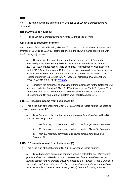#### **Rate**

43. The rate of funding is approximately 18p per £1 of *London-weighted charities income (£)*.

#### **QR charity support fund (£)**

44. This is *London-weighted charities income (£)* multiplied by *Rate*.

#### **QR business research element**

45. A total of £64 million is being allocated for 2019-20. The calculation is based on an average of 2014-15 to 2017-18 income reported to the HESA Finance record, but with the following adjustments:

a. The amount of co-investment from businesses for the UK Research Partnership Investment Fund (UKRPIF) initiative has been deducted from the 2014-15 HESA finance record Table 5b figures. This information was taken from the UKRPIF Annual Monitoring Returns, as emailed to providers by Sophie Melton-Bradley on 4 November 2014 and by Stephanie Lynch on 15 December 2015. Further information is provided in 'UK Research Partnership Investment Fund 2018-19 to 2019-20' (HEFCE [2015/33\)](https://webarchive.nationalarchives.gov.uk/20180405115938/http:/www.hefce.ac.uk/pubs/year/2015/201533/).

b. Similarly, the amount of co-investment from businesses for the Catalyst Fund has been deducted from the 2014-15 HESA finance record Table 5b figures. This information was taken from responses to Rebecca Weerasekera's email of 11 December 2014 and Matthew Eagles' email of 3 December 2015.

#### **2014-15 Research income from businesses (£)**

46. This is the sum of the following 2014-15 HESA finance record figures (adjusted as explained in paragraph 48):

a. Table 5b against the heading: *Net research grants and contracts* (Head 8) from the following sources:

- i. *UK industry, commerce and public corporations* (Table 5b Column 6).
- ii. *EU industry, commerce and public corporations* (Table 5b Column 9).

iii. *Non-EU industry, commerce and public corporations* (Table 5b Column 12).

#### **2015-16 Research income from businesses (£)**

47. This is the sum of the following 2015-16 HESA finance record figures:

a. Table 5 research grants and contracts which is calculated as *Total research grants and contracts* (Head 4) minus *Co-investment from external sources on funding council-funded projects (included in Heads 1 to 4 above)* (Head 5), which is then added to *Balance of research related deferred capital and revenue grants as taken at 31 July 2015 taken to reserves* (Head 6) from the following sources: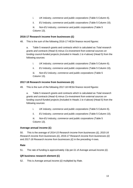- i. *UK industry, commerce and public corporations* (Table 5 Column 6).
- ii. *EU industry, commerce and public corporations* (Table 5 Column 10).

iii. *Non-EU industry, commerce and public corporations* (Table 5 Column 13).

#### **2016-17 Research income from businesses (£)**

48. This is the sum of the following 2016-17 HESA finance record figures:

a. Table 5 research grants and contracts which is calculated as *Total research grants and contracts* (Head 4) minus *Co-investment from external sources on funding council-funded projects (included in Heads 1 to 4 above)* (Head 5) from the following sources:

- i. *UK industry, commerce and public corporations* (Table 5 Column 6).
- ii. *EU industry, commerce and public corporations* (Table 5 Column 10).

iii. *Non-EU industry, commerce and public corporations* (Table 5 Column 13).

#### **2017-18 Research income from businesses (£)**

49. This is the sum of the following 2017-18 HESA finance record figures:

a. Table 5 research grants and contracts which is calculated as *Total research grants and contracts* (Head 4) minus *Co-investment from external sources on funding council-funded projects (included in Heads 1 to 4 above)* (Head 5) from the following sources:

- i. *UK industry, commerce and public corporations* (Table 5 Column 6).
- ii. *EU industry, commerce and public corporations* (Table 5 Column 10).

iii. *Non-EU industry, commerce and public corporations* (Table 5 Column 13).

#### **Average annual income (£)**

50. This is the average of *2014-15 Research income from businesses (£), 2015-16 Research income from businesses (£), 2016-17 Research income from businesses (£)*  and *2017-18 Research income from businesses (£)* in the preceding 4 rows.

#### **Rate**

51. The rate of funding is approximately 13p per £1 of *Average annual income (£)*.

#### **QR business research element (£)**

52. This is *Average annual income (£)* multiplied by *Rate*.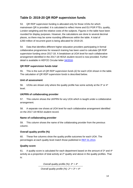## **Table D: 2019-20 QR RDP supervision funds**

53. QR RDP supervision funding is allocated only for those UOAs for which mainstream QR is provided. It is calculated to reflect Home and EU PGR FTEs, quality, London weighting and the relative costs of the subjects. Figures in the table have been rounded for display purposes. However, the calculations are done to several decimal places, so there may be some rounding differences within the table. A total of £260 million of recurrent grant is being allocated for 2019-20.

54. Data that identifies different higher education providers participating in formal collaborative programmes for research training has been used to calculate QR RDP supervision funding since 2017-18. A breakdown at UOA level for each collaborative arrangement identified in the 2017-18 HESA student record is now provided. Further detail is available in HEFCE Circular letter [34/2016.](https://webarchive.nationalarchives.gov.uk/20180405115028/http:/www.hefce.ac.uk/pubs/year/2016/CL,342016/)

#### **QR RDP supervision funds total**

55. This is the sum of *QR RDP supervision funds (£)* for each UOA shown in the table. The calculation of *QR RDP supervision funds* is described below.

#### **Unit of assessment**

56. UOAs are shown only where the quality profile has some activity at the 3\* or 4\* level.

#### **UKPRN of collaborating provider**

57. This column shows the UKPRN for any UOA which is taught under a collaborative arrangement.

58. A separate row shows at UOA level for each collaborative arrangement identified on the 2017-18 HESA student record.

#### **Name of collaborating provider**

59. This column shows the name of the collaborating provider from the previous column.

#### **Overall quality profile (%)**

60. These five columns show the quality profile outcomes for each UOA. The percentages at each quality level match those published in [REF 01.2014.](http://www.ref.ac.uk/2014/pubs/201401/)

#### **Quality score**

61. A quality score is calculated for each department based on the amount of  $3^*$  and  $4^*$ activity as a proportion of total activity at 2\* quality and above in the quality profiles. That is:

*Overall quality profile (%): 3\* + 4\**

*Overall quality profile (%): 2\* + 3\* + 4\**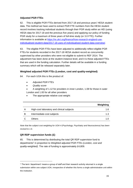#### **Adjusted PGR FTEs**

62. This is eligible PGR FTEs derived from 2017-18 and previous years' HESA student data. The method we have used to extract PGR FTE numbers from the HESA student record involves tracking individual students through their PGR study within an HEI (using HESA data for 2017-18 and the previous five years) and applying our policy of funding PGR study for a maximum of three years of full-time study (or 3.0 FTE). Further information is available at [https://re.ukri.org/finance/how-research-england-use](https://re.ukri.org/finance/how-research-england-use-individualised-student-data/2017-18-uses-of-individualised-student-data-overview/)[individualised-student-data/2017-18-uses-of-individualised-student-data-overview/.](https://re.ukri.org/finance/how-research-england-use-individualised-student-data/2017-18-uses-of-individualised-student-data-overview/)

63. The eligible PGR FTEs have been adjusted to additionally reflect eligible PGR FTEs for students recorded in the 2017-18 HESA student record as concurrently supervised by other providers who were not eligible to submit to REF 2014. The adjustment has been done at the student instance level, and it is these adjusted FTEs that are used in the funding calculation. Further details will be available in a funding summary which will be released separately later.

#### **Weighted adjusted PGR FTEs (London, cost and quality-weighted)**

64. For each UOA this is the product of:

- *Adjusted PGR FTEs*
- *Quality score*
- A weighting of 1.12 for providers in inner London, 1.08 for those in outer London and 1.00 for all other providers
- The appropriate relative cost weight:

|   |                                            | Weighting |
|---|--------------------------------------------|-----------|
| A | High-cost laboratory and clinical subjects | 1.6       |
| в | Intermediate-cost subjects                 | 1.3       |
|   | Others                                     | 10        |

*Note that the subject cost weighting for UOA 4 (Psychology, Psychiatry and Neuroscience) has been revised to 1.6.*

#### **QR RDP supervision funds (£)**

-

65. This is determined by distributing the total QR RDP supervision fund to departments<sup>1</sup> in proportion to Weighted adjusted PGR FTEs (London, cost and *quality-weighted)*. The rate of funding is approximately £4,809.

<sup>1</sup> The term 'department' means a group of staff and their research activity returned in a single submission within one subject UOA, irrespective of whether this forms a single administrative unit within the institution.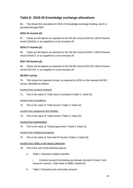## <span id="page-15-0"></span>**Table E: 2019-20 Knowledge exchange allocations**

66. This shows the calculation of 2019-20 Knowledge exchange funding, which is provided through HEIF.

#### **2015-16 income (£)**

67. These are the figures as reported on the HE-BCI record 2015/16, HESA Finance record 2015/16, or as supplied to us by Innovate UK

#### **2016-17 income (£)**

68. These are the figures as reported on the HE-BCI record 2016/17, HESA Finance record 2016/17, or as supplied to us by Innovate UK

#### **2017-18 income (£)**

69. These are the figures as reported on the HE-BCI record 2017/18, HESA Finance record 2017/18, or as supplied to us by Innovate UK

#### **HE-BCI survey**

70. This shows the reported income, as reported to HESA on the relevant HE-BCI survey, identified as follows:

Income from contract research

71. This is the value of *'Total value of contracts'* (Table 1, Head 2h)

Income from consultancy

72. This is the value of *'Total income'* (Table 2, Head 1h)

#### Income from equipment and facilities

73. This is the value of *'Total income'* (Table 2, Head 2h)

#### Income from regeneration

74. This is the value of *'Total programmes'* (Table 3, Head 1f)

#### Income from intellectual property

75. This is the value of *'Sub-total IP income'* (Table 4, Head 3d)

#### Income from SMEs in the above categories

- 76. This is the sum of the following figures:
	- a. Table 1: Research related activities

i. *Contract research (excluding any already returned in head 1 and research councils, 'Total value of SMEs'* (Head 2b)

b. Table 2: Business and community services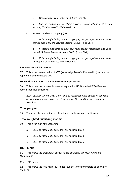i. *Consultancy, 'Total value of SMEs'* (Head 1b)

ii. *Facilities and equipment related services – organisations involved and income, 'Total value of SMEs'* (Head 2b)

c. Table 4: Intellectual property (IP)

i. *IP income (including patents, copyright, design, registration and trade marks), Non-software licenses income,* SMEs (Head 3a.i.)

ii. *IP income (including patents, copyright, design, registration and trade marks), Software licenses income,* SMEs (Head 3b.i.)

iii. *IP income (including patents, copyright, design, registration and trade marks), Other IP income, SMEs* (Head 3c.i.)

#### **Innovate UK – KTP income**

77. This is the relevant value of KTP (Knowledge Transfer Partnerships) income, as reported to us by Innovate UK.

#### **HESA Finance record – Income from NCB provision**

78. This shows the reported income, as reported to HESA on the HESA Finance record, identified as follows:

2015-16, 2016-17 and 2017-18 = *Table 6: Tuition fees and education contracts analysed by domicile, mode, level and source, Non-credit bearing course fees* (Head 2)

#### **Total per year**

79. These are the relevant sums of the figures in the previous eight rows.

#### **Total weighted qualifying income**

80. This is the sum of the following:

- a. *2015-16 income (£) Total per year* multiplied by 2
- b. *2016-17 income (£) Total per year* multiplied by 3
- c. *2017-18 income (£) Total per year* multiplied by 5

#### **HEIF funds**

81. This shows the breakdown of HEIF funds between *Main HEIF funds* and *Supplement*.

#### Main HEIF funds

82. This shows the total Main HEIF funds (subject to the parameters as shown on Table F).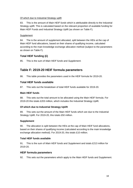#### Of which due to Industrial Strategy uplift

83. This is the amount of *Main HEIF funds* which is attributable directly to the Industrial Strategy uplift. This is calculated based on the relevant proportion of available funding for Main HEIF Funds and Industrial Strategy Uplift (as shown on Table F).

#### Supplement

84. The is the amount of supplement allocated, split between the HEIs at the cap of Main HEIF fund allocations, based on their shares of qualifying income, calculated according to the main knowledge exchange allocation method (subject to the parameters as shown on Table F).

#### **Total HEIF funding (£)**

85. This is the sum of *Main HEIF funds* and *Supplement*.

## <span id="page-17-0"></span>**Table F: 2019-20 HEIF formula parameters**

86. This table provides the parameters used in the HEIF formula for 2019-20.

#### **Total HEIF funds available**

87. This sets out the breakdown of total HEIF funds available for 2019-20.

#### **Main HEIF funds**

88. This sets out the total amount to be allocated using the Main HEIF formula. For 2019-20 this totals £203 million, which includes the Industrial Strategy Uplift.

#### **Of which due to Industrial Strategy Uplift**

89. This sets out the amount of the Main HEIF funds which are due to the Industrial Strategy Uplift. For 2019-20, this totals £50 million.

#### **Supplement**

90. The allocation is split between the HEIs at the cap of Main HEIF fund allocations, based on their shares of qualifying income (calculated according to the main knowledge exchange allocation method). For 2019-20, this totals £10 million.

#### **Total HEIF funds available**

91. This is the sum of *Main HEIF funds* and *Supplement* and totals £213 million for 2019-20.

#### **HEIF formula parameters**

92. This sets out the parameters which apply to the Main HEIF funds and Supplement.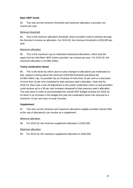#### **Main HEIF funds**

93. This sets out the minimum threshold and maximum allocation a provider can receive per year.

#### Minimum threshold

94. This is the minimum allocation threshold, which providers need to achieve through the formula to receive an allocation. For 2019-20, the minimum threshold is £250,000 per year.

#### Maximum allocation

95. This is the maximum cap on individual institutional allocations, which sets the upper limit for total Main HEIF funds a provider can receive per year. For 2019-20, the maximum allocation is £3.895 million

#### **Yearly moderation factor**

96. This is the factor by which year-on-year changes to allocations are moderated so that, subject to being above the minimum £250,000 threshold and below the £3.895 million cap, no provider has an increase of more than 10 per cent or a decrease of more than 10 per cent compared to their previous year's allocation. Note that for 2018-19, there was a one-off adjustment to the yearly moderation factor so that providers could receive up to a 30 per cent increase compared to their previous year's allocation. This was done in order to accommodate the overall HEIF budget increase for 2018-19. As there is no increase in the budget this year the moderation factor has returned to a maximum 10 per cent year-on-year increase.

#### **Supplement**

97. This sets out the minimum and maximum allocations eligible providers (those HEIs at the cap of allocations) can receive as a supplement.

#### Minimum allocation

98. For 2019-20, the minimum supplement allocation is £200,000.

#### Maximum allocation

99. For 2019-20, the maximum supplement allocation is £500,000.